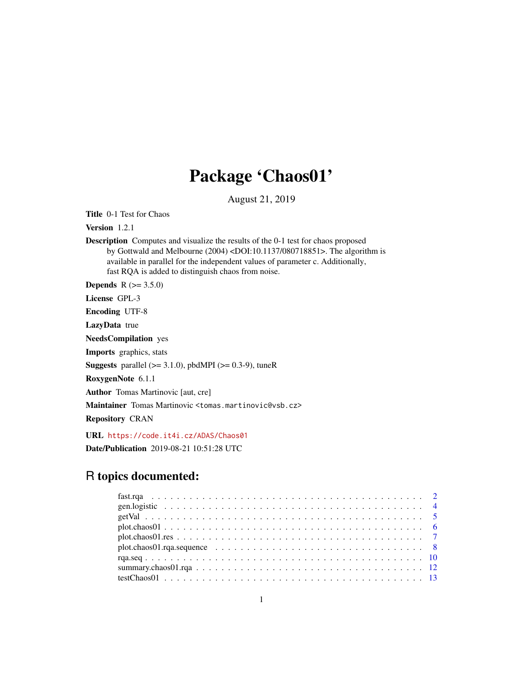## Package 'Chaos01'

August 21, 2019

<span id="page-0-0"></span>Title 0-1 Test for Chaos

Version 1.2.1

Description Computes and visualize the results of the 0-1 test for chaos proposed by Gottwald and Melbourne (2004) <DOI:10.1137/080718851>. The algorithm is available in parallel for the independent values of parameter c. Additionally, fast RQA is added to distinguish chaos from noise.

**Depends** R  $(>= 3.5.0)$ 

License GPL-3

Encoding UTF-8

LazyData true

NeedsCompilation yes

Imports graphics, stats

**Suggests** parallel  $(>= 3.1.0)$ , pbdMPI  $(>= 0.3-9)$ , tuneR

RoxygenNote 6.1.1

Author Tomas Martinovic [aut, cre]

Maintainer Tomas Martinovic <tomas.martinovic@vsb.cz>

Repository CRAN

URL <https://code.it4i.cz/ADAS/Chaos01>

Date/Publication 2019-08-21 10:51:28 UTC

### R topics documented:

| $plot. chaos01. rqa. sequence \dots \dots \dots \dots \dots \dots \dots \dots \dots \dots \dots \dots \dots \dots \dots \dots$ |  |
|--------------------------------------------------------------------------------------------------------------------------------|--|
|                                                                                                                                |  |
|                                                                                                                                |  |
|                                                                                                                                |  |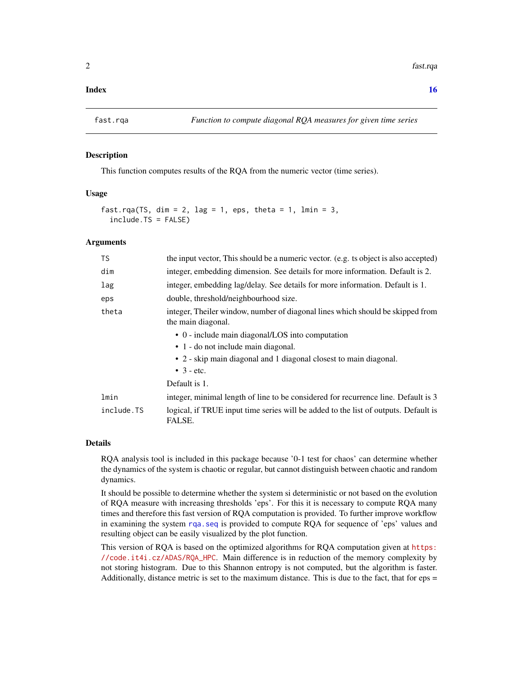#### <span id="page-1-0"></span>**Index** and the contract of the contract of the contract of the contract of the contract of the contract of the contract of the contract of the contract of the contract of the contract of the contract of the contract of th

<span id="page-1-1"></span>

#### Description

This function computes results of the RQA from the numeric vector (time series).

#### Usage

```
fast.rqa(TS, dim = 2, lag = 1, eps, theta = 1, lmin = 3,
  include.TS = FALSE)
```
#### Arguments

| <b>TS</b>  | the input vector, This should be a numeric vector. (e.g. ts object is also accepted)                 |
|------------|------------------------------------------------------------------------------------------------------|
| dim        | integer, embedding dimension. See details for more information. Default is 2.                        |
| lag        | integer, embedding lag/delay. See details for more information. Default is 1.                        |
| eps        | double, threshold/neighbourhood size.                                                                |
| theta      | integer, Theiler window, number of diagonal lines which should be skipped from<br>the main diagonal. |
|            | • 0 - include main diagonal/LOS into computation                                                     |
|            | $\bullet$ 1 - do not include main diagonal.                                                          |
|            | • 2 - skip main diagonal and 1 diagonal closest to main diagonal.                                    |
|            | $\bullet$ 3 - etc.                                                                                   |
|            | Default is 1.                                                                                        |
| lmin       | integer, minimal length of line to be considered for recurrence line. Default is 3                   |
| include.TS | logical, if TRUE input time series will be added to the list of outputs. Default is<br>FALSE.        |

#### Details

RQA analysis tool is included in this package because '0-1 test for chaos' can determine whether the dynamics of the system is chaotic or regular, but cannot distinguish between chaotic and random dynamics.

It should be possible to determine whether the system si deterministic or not based on the evolution of RQA measure with increasing thresholds 'eps'. For this it is necessary to compute RQA many times and therefore this fast version of RQA computation is provided. To further improve workflow in examining the system [rqa.seq](#page-9-1) is provided to compute RQA for sequence of 'eps' values and resulting object can be easily visualized by the plot function.

This version of RQA is based on the optimized algorithms for RQA computation given at [https:](https://code.it4i.cz/ADAS/RQA_HPC) [//code.it4i.cz/ADAS/RQA\\_HPC](https://code.it4i.cz/ADAS/RQA_HPC). Main difference is in reduction of the memory complexity by not storing histogram. Due to this Shannon entropy is not computed, but the algorithm is faster. Additionally, distance metric is set to the maximum distance. This is due to the fact, that for  $eps =$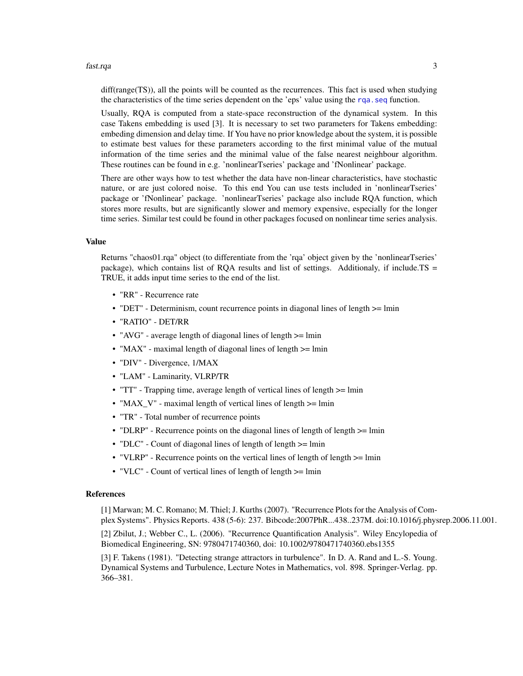#### fast.rqa 3

diff(range(TS)), all the points will be counted as the recurrences. This fact is used when studying the characteristics of the time series dependent on the 'eps' value using the [rqa.seq](#page-9-1) function.

Usually, RQA is computed from a state-space reconstruction of the dynamical system. In this case Takens embedding is used [3]. It is necessary to set two parameters for Takens embedding: embeding dimension and delay time. If You have no prior knowledge about the system, it is possible to estimate best values for these parameters according to the first minimal value of the mutual information of the time series and the minimal value of the false nearest neighbour algorithm. These routines can be found in e.g. 'nonlinearTseries' package and 'fNonlinear' package.

There are other ways how to test whether the data have non-linear characteristics, have stochastic nature, or are just colored noise. To this end You can use tests included in 'nonlinearTseries' package or 'fNonlinear' package. 'nonlinearTseries' package also include RQA function, which stores more results, but are significantly slower and memory expensive, especially for the longer time series. Similar test could be found in other packages focused on nonlinear time series analysis.

#### Value

Returns "chaos01.rqa" object (to differentiate from the 'rqa' object given by the 'nonlinearTseries' package), which contains list of RQA results and list of settings. Additionaly, if include.TS  $=$ TRUE, it adds input time series to the end of the list.

- "RR" Recurrence rate
- "DET" Determinism, count recurrence points in diagonal lines of length  $\ge$ = lmin
- "RATIO" DET/RR
- "AVG" average length of diagonal lines of length  $\ge$ = lmin
- "MAX" maximal length of diagonal lines of length  $>=$  lmin
- "DIV" Divergence, 1/MAX
- "LAM" Laminarity, VLRP/TR
- "TT" Trapping time, average length of vertical lines of length >= lmin
- "MAX\_V" maximal length of vertical lines of length >= lmin
- "TR" Total number of recurrence points
- "DLRP" Recurrence points on the diagonal lines of length of length  $\ge$ = lmin
- "DLC" Count of diagonal lines of length of length  $>=$  lmin
- "VLRP" Recurrence points on the vertical lines of length of length  $>=$  lmin
- "VLC" Count of vertical lines of length of length  $>=$  lmin

#### References

[1] Marwan; M. C. Romano; M. Thiel; J. Kurths (2007). "Recurrence Plots for the Analysis of Complex Systems". Physics Reports. 438 (5-6): 237. Bibcode:2007PhR...438..237M. doi:10.1016/j.physrep.2006.11.001.

[2] Zbilut, J.; Webber C., L. (2006). "Recurrence Quantification Analysis". Wiley Encylopedia of Biomedical Engineering, SN: 9780471740360, doi: 10.1002/9780471740360.ebs1355

[3] F. Takens (1981). "Detecting strange attractors in turbulence". In D. A. Rand and L.-S. Young. Dynamical Systems and Turbulence, Lecture Notes in Mathematics, vol. 898. Springer-Verlag. pp. 366–381.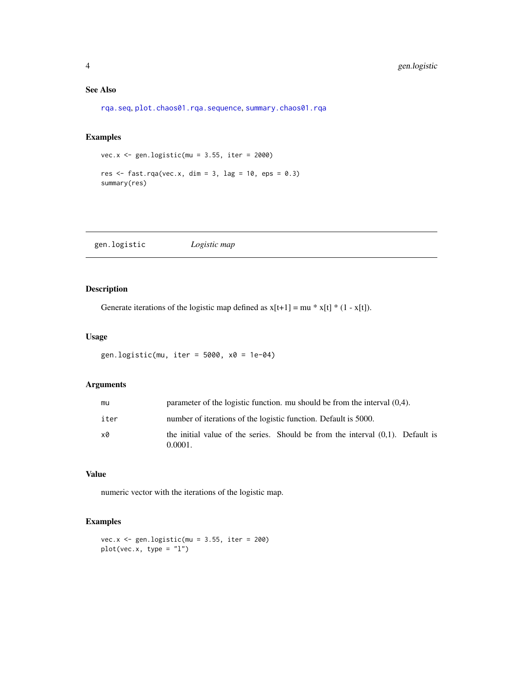#### <span id="page-3-0"></span>See Also

[rqa.seq](#page-9-1), [plot.chaos01.rqa.sequence](#page-7-1), [summary.chaos01.rqa](#page-11-1)

#### Examples

```
vec.x <- gen.logistic(mu = 3.55, iter = 2000)
res \le fast.rqa(vec.x, dim = 3, lag = 10, eps = 0.3)
summary(res)
```
gen.logistic *Logistic map*

#### Description

Generate iterations of the logistic map defined as  $x[t+1] = mu * x[t] * (1 - x[t])$ .

#### Usage

```
gen.logistic(mu, iter = 5000, x0 = 1e-04)
```
#### Arguments

| mu   | parameter of the logistic function, mu should be from the interval $(0,4)$ .                 |
|------|----------------------------------------------------------------------------------------------|
| iter | number of iterations of the logistic function. Default is 5000.                              |
| x0   | the initial value of the series. Should be from the interval $(0,1)$ . Default is<br>0.0001. |

#### Value

numeric vector with the iterations of the logistic map.

```
vec.x <- gen.logistic(mu = 3.55, iter = 200)
plot(vec.x, type = "l")
```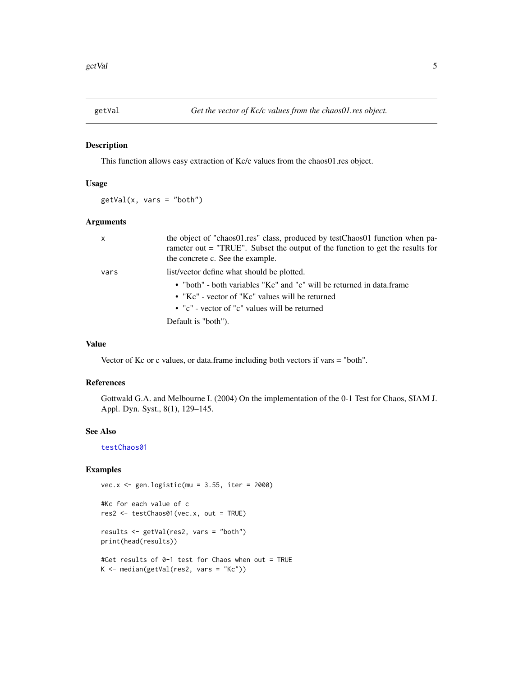<span id="page-4-1"></span><span id="page-4-0"></span>

#### Description

This function allows easy extraction of Kc/c values from the chaos01.res object.

#### Usage

 $getVal(x, vars = "both")$ 

#### Arguments

| $\mathsf{x}$ | the object of "chaos01.res" class, produced by testChaos01 function when pa-<br>rameter out = "TRUE". Subset the output of the function to get the results for<br>the concrete c. See the example. |
|--------------|----------------------------------------------------------------------------------------------------------------------------------------------------------------------------------------------------|
| vars         | list/vector define what should be plotted.<br>• "both" - both variables "Kc" and "c" will be returned in data.frame                                                                                |
|              | • "Kc" - vector of "Kc" values will be returned<br>• "c" - vector of "c" values will be returned                                                                                                   |
|              | Default is "both").                                                                                                                                                                                |

#### Value

Vector of Kc or c values, or data.frame including both vectors if vars = "both".

#### References

Gottwald G.A. and Melbourne I. (2004) On the implementation of the 0-1 Test for Chaos, SIAM J. Appl. Dyn. Syst., 8(1), 129–145.

#### See Also

[testChaos01](#page-12-1)

#### Examples

```
vec.x <- gen.logistic(mu = 3.55, iter = 2000)
```

```
#Kc for each value of c
res2 <- testChaos01(vec.x, out = TRUE)
```
results <- getVal(res2, vars = "both") print(head(results))

#Get results of 0-1 test for Chaos when out = TRUE K <- median(getVal(res2, vars = "Kc"))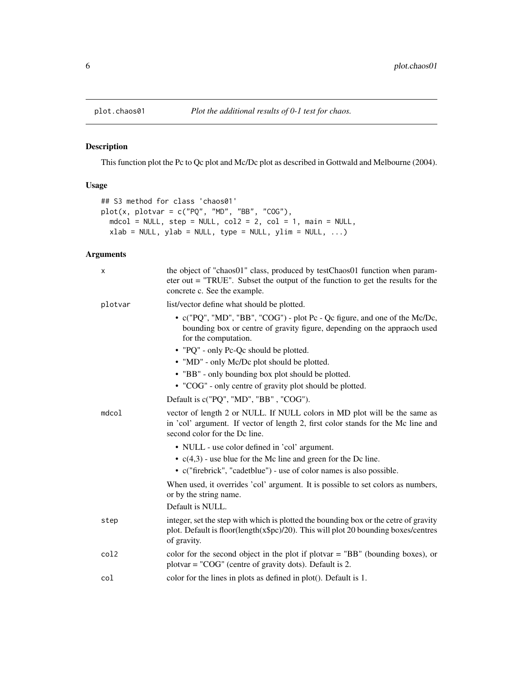<span id="page-5-1"></span><span id="page-5-0"></span>

#### Description

This function plot the Pc to Qc plot and Mc/Dc plot as described in Gottwald and Melbourne (2004).

#### Usage

```
## S3 method for class 'chaos01'
plot(x, plotvar = c("PQ", "MD", "BB", "COG"),mdcol = NULL, step = NULL, col2 = 2, col = 1, main = NULL,
 xlab = NULL, ylab = NULL, type = NULL, ylim = NULL, ...
```
#### Arguments

| X       | the object of "chaos01" class, produced by testChaos01 function when param-<br>eter out $=$ "TRUE". Subset the output of the function to get the results for the<br>concrete c. See the example.                                                                                                                                                                                         |
|---------|------------------------------------------------------------------------------------------------------------------------------------------------------------------------------------------------------------------------------------------------------------------------------------------------------------------------------------------------------------------------------------------|
| plotvar | list/vector define what should be plotted.                                                                                                                                                                                                                                                                                                                                               |
|         | • c("PQ", "MD", "BB", "COG") - plot Pc - Qc figure, and one of the Mc/Dc,<br>bounding box or centre of gravity figure, depending on the appraoch used<br>for the computation.<br>• "PQ" - only Pc-Qc should be plotted.<br>• "MD" - only Mc/Dc plot should be plotted.<br>• "BB" - only bounding box plot should be plotted.<br>• "COG" - only centre of gravity plot should be plotted. |
|         | Default is c("PQ", "MD", "BB", "COG").                                                                                                                                                                                                                                                                                                                                                   |
| mdcol   | vector of length 2 or NULL. If NULL colors in MD plot will be the same as<br>in 'col' argument. If vector of length 2, first color stands for the Mc line and<br>second color for the Dc line.                                                                                                                                                                                           |
|         | • NULL - use color defined in 'col' argument.                                                                                                                                                                                                                                                                                                                                            |
|         | $\bullet$ c(4,3) - use blue for the Mc line and green for the Dc line.                                                                                                                                                                                                                                                                                                                   |
|         | • c("firebrick", "cadetblue") - use of color names is also possible.                                                                                                                                                                                                                                                                                                                     |
|         | When used, it overrides 'col' argument. It is possible to set colors as numbers,<br>or by the string name.<br>Default is NULL.                                                                                                                                                                                                                                                           |
| step    | integer, set the step with which is plotted the bounding box or the cetre of gravity<br>plot. Default is floor(length(x\$pc)/20). This will plot 20 bounding boxes/centres<br>of gravity.                                                                                                                                                                                                |
| col2    | color for the second object in the plot if plot at $B^"$ (bounding boxes), or<br>$plotvar = "COG"$ (centre of gravity dots). Default is 2.                                                                                                                                                                                                                                               |
| col     | color for the lines in plots as defined in plot(). Default is 1.                                                                                                                                                                                                                                                                                                                         |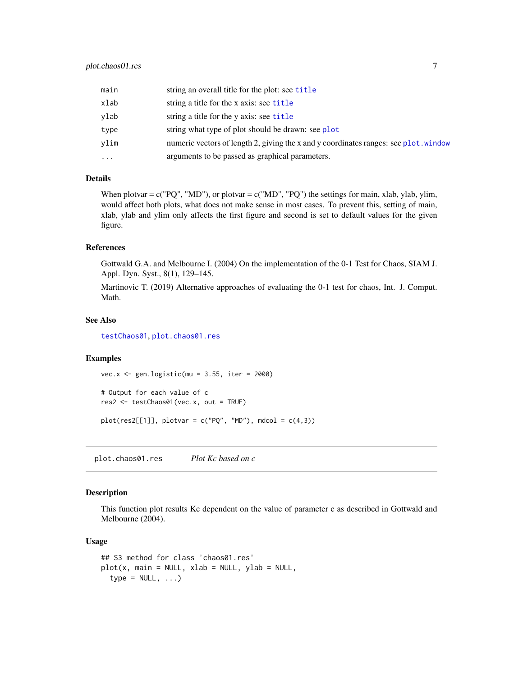<span id="page-6-0"></span>

| main     | string an overall title for the plot: see title                                      |
|----------|--------------------------------------------------------------------------------------|
| xlab     | string a title for the x axis: see title                                             |
| vlab     | string a title for the y axis: see title                                             |
| type     | string what type of plot should be drawn: see plot                                   |
| vlim     | numeric vectors of length 2, giving the x and y coordinates ranges: see plot. window |
| $\cdots$ | arguments to be passed as graphical parameters.                                      |

#### Details

When plotvar =  $c("PQ", "MD"),$  or plotvar =  $c("MD", "PQ")$  the settings for main, xlab, ylab, ylim, would affect both plots, what does not make sense in most cases. To prevent this, setting of main, xlab, ylab and ylim only affects the first figure and second is set to default values for the given figure.

#### References

Gottwald G.A. and Melbourne I. (2004) On the implementation of the 0-1 Test for Chaos, SIAM J. Appl. Dyn. Syst., 8(1), 129–145.

Martinovic T. (2019) Alternative approaches of evaluating the 0-1 test for chaos, Int. J. Comput. Math.

#### See Also

[testChaos01](#page-12-1), [plot.chaos01.res](#page-6-1)

#### Examples

vec.x <- gen.logistic(mu = 3.55, iter = 2000)

```
# Output for each value of c
res2 <- testChaos01(vec.x, out = TRUE)
```
plot(res2[[1]], plotvar =  $c("PQ", "MD")$ , mdcol =  $c(4,3)$ )

<span id="page-6-1"></span>plot.chaos01.res *Plot Kc based on c*

#### Description

This function plot results Kc dependent on the value of parameter c as described in Gottwald and Melbourne (2004).

#### Usage

```
## S3 method for class 'chaos01.res'
plot(x, main = NULL, xlab = NULL, ylab = NULL,type = NULL, ...
```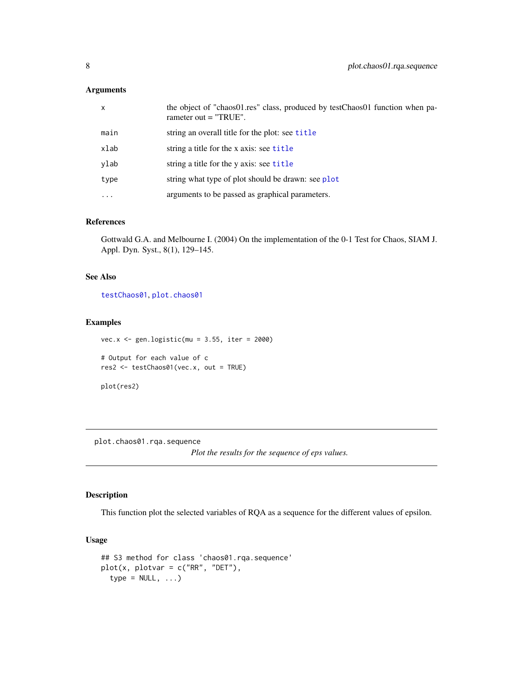#### <span id="page-7-0"></span>Arguments

| $\mathsf{x}$ | the object of "chaos01.res" class, produced by testChaos01 function when pa-<br>rameter out $=$ "TRUE". |
|--------------|---------------------------------------------------------------------------------------------------------|
| main         | string an overall title for the plot: see title                                                         |
| xlab         | string a title for the x axis: see title                                                                |
| ylab         | string a title for the y axis: see title                                                                |
| type         | string what type of plot should be drawn: see plot                                                      |
| $\cdots$     | arguments to be passed as graphical parameters.                                                         |

#### References

Gottwald G.A. and Melbourne I. (2004) On the implementation of the 0-1 Test for Chaos, SIAM J. Appl. Dyn. Syst., 8(1), 129–145.

#### See Also

[testChaos01](#page-12-1), [plot.chaos01](#page-5-1)

#### Examples

```
vec.x \le gen.logistic(mu = 3.55, iter = 2000)
# Output for each value of c
res2 <- testChaos01(vec.x, out = TRUE)
plot(res2)
```
<span id="page-7-1"></span>plot.chaos01.rqa.sequence

*Plot the results for the sequence of eps values.*

#### Description

This function plot the selected variables of RQA as a sequence for the different values of epsilon.

#### Usage

```
## S3 method for class 'chaos01.rqa.sequence'
plot(x, plotvar = c("RR", "DET"),
  type = NULL, ...
```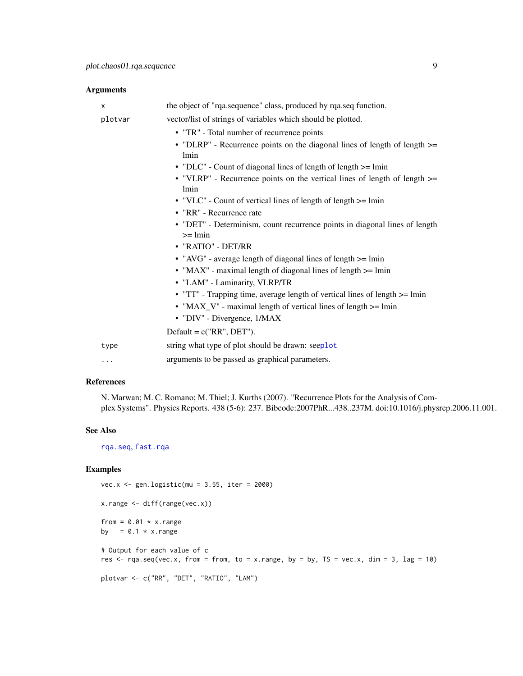<span id="page-8-0"></span>Arguments

| X        | the object of "rqa.sequence" class, produced by rqa.seq function.                             |
|----------|-----------------------------------------------------------------------------------------------|
| plotvar  | vector/list of strings of variables which should be plotted.                                  |
|          | • "TR" - Total number of recurrence points                                                    |
|          | • "DLRP" - Recurrence points on the diagonal lines of length of length $\ge$ =<br><i>lmin</i> |
|          | • "DLC" - Count of diagonal lines of length of length $>=$ lmin                               |
|          | • "VLRP" - Recurrence points on the vertical lines of length of length >=<br><i>lmin</i>      |
|          | • "VLC" - Count of vertical lines of length of length $>=$ lmin                               |
|          | • "RR" - Recurrence rate                                                                      |
|          | • "DET" - Determinism, count recurrence points in diagonal lines of length<br>$>=$ lmin       |
|          | • "RATIO" - DET/RR                                                                            |
|          | • "AVG" - average length of diagonal lines of length >= lmin                                  |
|          | • "MAX" - maximal length of diagonal lines of length $\ge$ = lmin                             |
|          | • "LAM" - Laminarity, VLRP/TR                                                                 |
|          | • "TT" - Trapping time, average length of vertical lines of length $>=$ lmin                  |
|          | • "MAX_V" - maximal length of vertical lines of length >= lmin                                |
|          | • "DIV" - Divergence, 1/MAX                                                                   |
|          | Default = $c("RR", DET")$ .                                                                   |
| type     | string what type of plot should be drawn: seeplot                                             |
| $\cdots$ | arguments to be passed as graphical parameters.                                               |

#### References

N. Marwan; M. C. Romano; M. Thiel; J. Kurths (2007). "Recurrence Plots for the Analysis of Complex Systems". Physics Reports. 438 (5-6): 237. Bibcode:2007PhR...438..237M. doi:10.1016/j.physrep.2006.11.001.

#### See Also

[rqa.seq](#page-9-1), [fast.rqa](#page-1-1)

```
vec.x <- gen.logistic(mu = 3.55, iter = 2000)
x.range <- diff(range(vec.x))
from = 0.01 \times x.range
by = 0.1 \times x. range
# Output for each value of c
res \leq rqa.seq(vec.x, from = from, to = x.range, by = by, TS = vec.x, dim = 3, lag = 10)
plotvar <- c("RR", "DET", "RATIO", "LAM")
```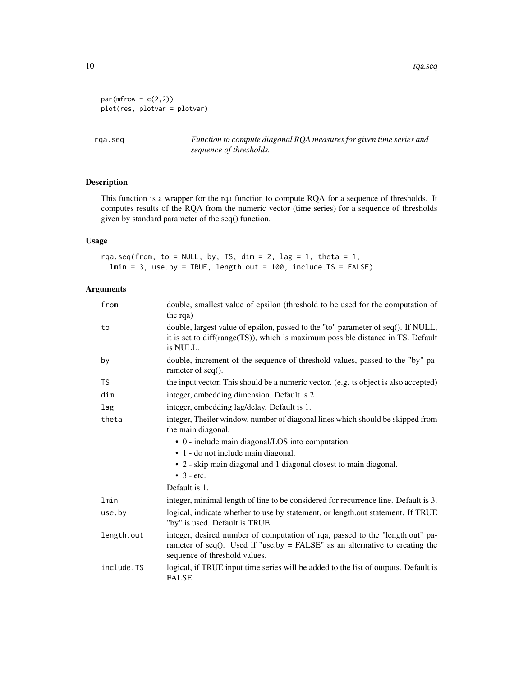```
par(mfrow = c(2,2))plot(res, plotvar = plotvar)
```
<span id="page-9-1"></span>rqa.seq *Function to compute diagonal RQA measures for given time series and sequence of thresholds.*

#### Description

This function is a wrapper for the rqa function to compute RQA for a sequence of thresholds. It computes results of the RQA from the numeric vector (time series) for a sequence of thresholds given by standard parameter of the seq() function.

#### Usage

rqa.seq(from, to = NULL, by, TS, dim = 2, lag = 1, theta = 1,  $lmin = 3$ , use.by = TRUE, length.out = 100, include.TS = FALSE)

#### Arguments

| from       | double, smallest value of epsilon (threshold to be used for the computation of<br>the rqa)                                                                                                       |
|------------|--------------------------------------------------------------------------------------------------------------------------------------------------------------------------------------------------|
| to         | double, largest value of epsilon, passed to the "to" parameter of seq(). If NULL,<br>it is set to diff(range(TS)), which is maximum possible distance in TS. Default<br>is NULL.                 |
| by         | double, increment of the sequence of threshold values, passed to the "by" pa-<br>rameter of $seq()$ .                                                                                            |
| <b>TS</b>  | the input vector, This should be a numeric vector. (e.g. ts object is also accepted)                                                                                                             |
| dim        | integer, embedding dimension. Default is 2.                                                                                                                                                      |
| lag        | integer, embedding lag/delay. Default is 1.                                                                                                                                                      |
| theta      | integer, Theiler window, number of diagonal lines which should be skipped from<br>the main diagonal.                                                                                             |
|            | • 0 - include main diagonal/LOS into computation                                                                                                                                                 |
|            | • 1 - do not include main diagonal.                                                                                                                                                              |
|            | • 2 - skip main diagonal and 1 diagonal closest to main diagonal.<br>$\bullet$ 3 - etc.                                                                                                          |
|            | Default is 1.                                                                                                                                                                                    |
| lmin       | integer, minimal length of line to be considered for recurrence line. Default is 3.                                                                                                              |
| use.by     | logical, indicate whether to use by statement, or length.out statement. If TRUE<br>"by" is used. Default is TRUE.                                                                                |
| length.out | integer, desired number of computation of rqa, passed to the "length.out" pa-<br>rameter of seq(). Used if "use.by $=$ FALSE" as an alternative to creating the<br>sequence of threshold values. |
| include.TS | logical, if TRUE input time series will be added to the list of outputs. Default is<br>FALSE.                                                                                                    |

<span id="page-9-0"></span>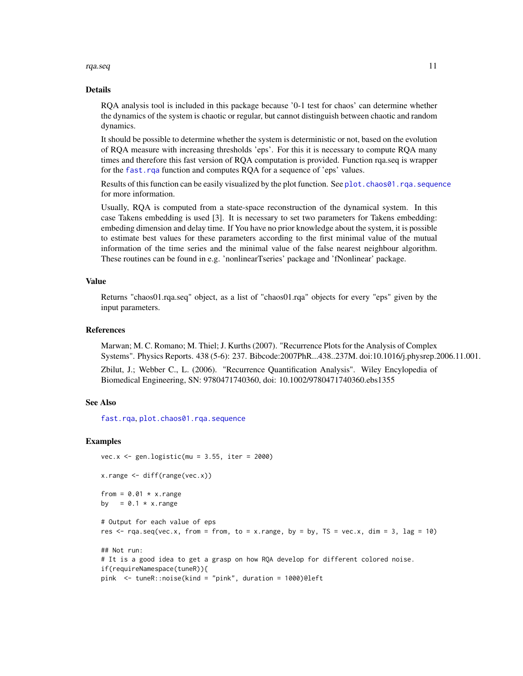<span id="page-10-0"></span>rqa.seq and the state of the state of the state of the state of the state of the state of the state of the state of the state of the state of the state of the state of the state of the state of the state of the state of th

#### Details

RQA analysis tool is included in this package because '0-1 test for chaos' can determine whether the dynamics of the system is chaotic or regular, but cannot distinguish between chaotic and random dynamics.

It should be possible to determine whether the system is deterministic or not, based on the evolution of RQA measure with increasing thresholds 'eps'. For this it is necessary to compute RQA many times and therefore this fast version of RQA computation is provided. Function rqa.seq is wrapper for the fast. rga function and computes ROA for a sequence of 'eps' values.

Results of this function can be easily visualized by the plot function. See plot. chaos01.  $rqa$ . sequence for more information.

Usually, RQA is computed from a state-space reconstruction of the dynamical system. In this case Takens embedding is used [3]. It is necessary to set two parameters for Takens embedding: embeding dimension and delay time. If You have no prior knowledge about the system, it is possible to estimate best values for these parameters according to the first minimal value of the mutual information of the time series and the minimal value of the false nearest neighbour algorithm. These routines can be found in e.g. 'nonlinearTseries' package and 'fNonlinear' package.

#### Value

Returns "chaos01.rqa.seq" object, as a list of "chaos01.rqa" objects for every "eps" given by the input parameters.

#### References

Marwan; M. C. Romano; M. Thiel; J. Kurths (2007). "Recurrence Plots for the Analysis of Complex Systems". Physics Reports. 438 (5-6): 237. Bibcode:2007PhR...438..237M. doi:10.1016/j.physrep.2006.11.001.

Zbilut, J.; Webber C., L. (2006). "Recurrence Quantification Analysis". Wiley Encylopedia of Biomedical Engineering, SN: 9780471740360, doi: 10.1002/9780471740360.ebs1355

#### See Also

[fast.rqa](#page-1-1), [plot.chaos01.rqa.sequence](#page-7-1)

```
vec.x \leq gen.logistic(mu = 3.55, iter = 2000)
x.range <- diff(range(vec.x))
from = 0.01 \times x.range
by = 0.1 \times x. range
# Output for each value of eps
res \leq rqa.seq(vec.x, from = from, to = x.range, by = by, TS = vec.x, dim = 3, lag = 10)
## Not run:
# It is a good idea to get a grasp on how RQA develop for different colored noise.
if(requireNamespace(tuneR)){
pink <- tuneR::noise(kind = "pink", duration = 1000)@left
```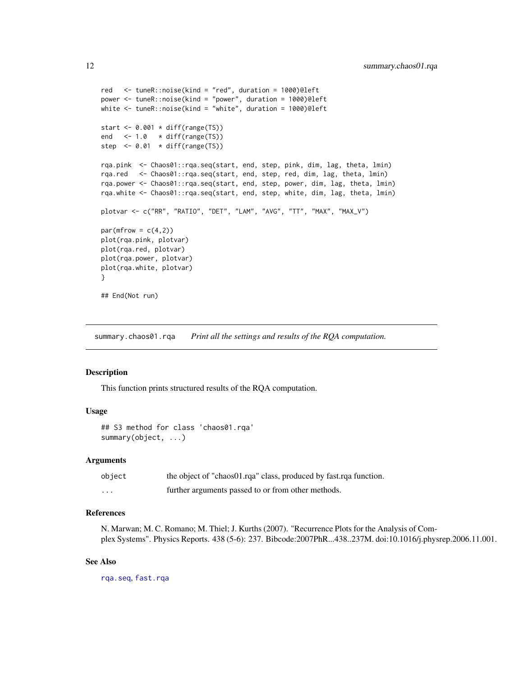```
red <- tuneR::noise(kind = "red", duration = 1000)@left
power <- tuneR::noise(kind = "power", duration = 1000)@left
white <- tuneR::noise(kind = "white", duration = 1000)@left
start <- 0.001 * diff(range(TS))
end <-1.0 \star diff(range(TS))
step \leq 0.01 \times \text{diff}(\text{range(TS)})rqa.pink <- Chaos01::rqa.seq(start, end, step, pink, dim, lag, theta, lmin)
rqa.red <- Chaos01::rqa.seq(start, end, step, red, dim, lag, theta, lmin)
rqa.power <- Chaos01::rqa.seq(start, end, step, power, dim, lag, theta, lmin)
rqa.white <- Chaos01::rqa.seq(start, end, step, white, dim, lag, theta, lmin)
plotvar <- c("RR", "RATIO", "DET", "LAM", "AVG", "TT", "MAX", "MAX_V")
par(mfrow = c(4,2))plot(rqa.pink, plotvar)
plot(rqa.red, plotvar)
plot(rqa.power, plotvar)
plot(rqa.white, plotvar)
}
## End(Not run)
```
<span id="page-11-1"></span>summary.chaos01.rqa *Print all the settings and results of the RQA computation.*

#### Description

This function prints structured results of the RQA computation.

#### Usage

```
## S3 method for class 'chaos01.rqa'
summary(object, ...)
```
#### Arguments

| object | the object of "chaos01.rqa" class, produced by fast.rqa function. |
|--------|-------------------------------------------------------------------|
| .      | further arguments passed to or from other methods.                |

#### References

N. Marwan; M. C. Romano; M. Thiel; J. Kurths (2007). "Recurrence Plots for the Analysis of Complex Systems". Physics Reports. 438 (5-6): 237. Bibcode:2007PhR...438..237M. doi:10.1016/j.physrep.2006.11.001.

#### See Also

[rqa.seq](#page-9-1), [fast.rqa](#page-1-1)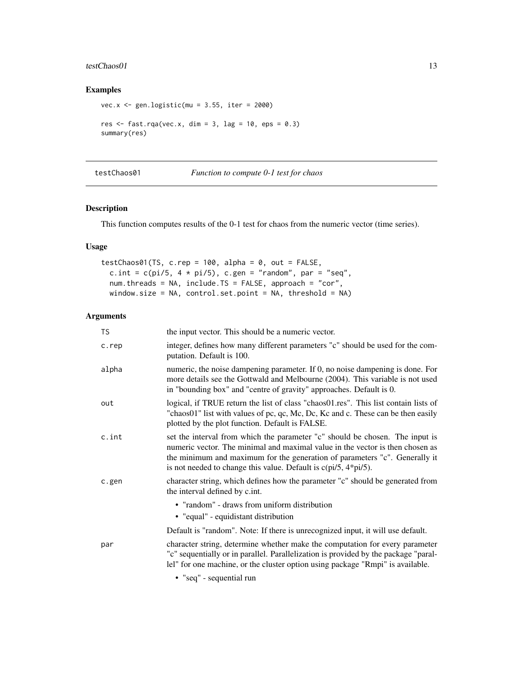#### <span id="page-12-0"></span>testChaos01 13

#### Examples

```
vec.x \le gen.logistic(mu = 3.55, iter = 2000)
res \le- fast.rqa(vec.x, dim = 3, lag = 10, eps = 0.3)
summary(res)
```
<span id="page-12-1"></span>testChaos01 *Function to compute 0-1 test for chaos*

#### Description

This function computes results of the 0-1 test for chaos from the numeric vector (time series).

#### Usage

```
testChaos@1(TS, c.rep = 100, alpha = 0, out = FALSE,c.int = c(pi/5, 4 * pi/5), c.gen = "random", par = "seq",
 num.threads = NA, include.TS = FALSE, approach = "cor",
 window.size = NA, control.set.point = NA, threshold = NA)
```
#### Arguments

| TS    | the input vector. This should be a numeric vector.                                                                                                                                                                                                                                                                |
|-------|-------------------------------------------------------------------------------------------------------------------------------------------------------------------------------------------------------------------------------------------------------------------------------------------------------------------|
| c.rep | integer, defines how many different parameters "c" should be used for the com-<br>putation. Default is 100.                                                                                                                                                                                                       |
| alpha | numeric, the noise dampening parameter. If 0, no noise dampening is done. For<br>more details see the Gottwald and Melbourne (2004). This variable is not used<br>in "bounding box" and "centre of gravity" approaches. Default is 0.                                                                             |
| out   | logical, if TRUE return the list of class "chaos01.res". This list contain lists of<br>"chaos01" list with values of pc, qc, Mc, Dc, Kc and c. These can be then easily<br>plotted by the plot function. Default is FALSE.                                                                                        |
| c.int | set the interval from which the parameter "c" should be chosen. The input is<br>numeric vector. The minimal and maximal value in the vector is then chosen as<br>the minimum and maximum for the generation of parameters "c". Generally it<br>is not needed to change this value. Default is $c$ (pi/5, 4*pi/5). |
| c.gen | character string, which defines how the parameter "c" should be generated from<br>the interval defined by c.int.                                                                                                                                                                                                  |
|       | • "random" - draws from uniform distribution<br>• "equal" - equidistant distribution                                                                                                                                                                                                                              |
|       | Default is "random". Note: If there is unrecognized input, it will use default.                                                                                                                                                                                                                                   |
| par   | character string, determine whether make the computation for every parameter<br>"c" sequentially or in parallel. Parallelization is provided by the package "paral-<br>lel" for one machine, or the cluster option using package "Rmpi" is available.                                                             |
|       | • "seq" - sequential run                                                                                                                                                                                                                                                                                          |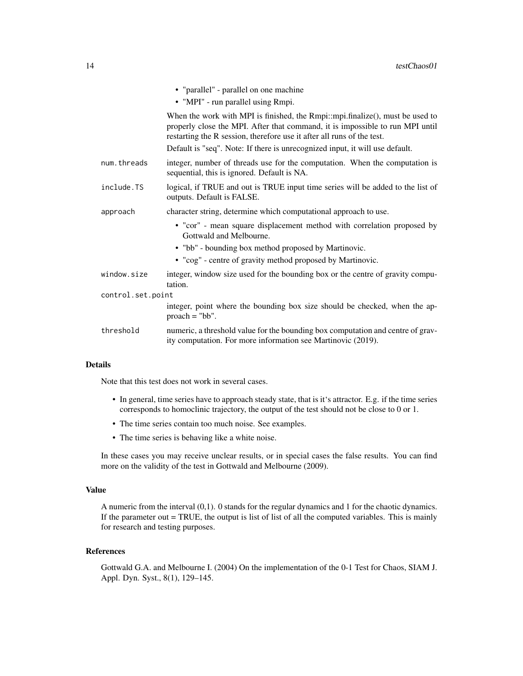|                   | • "parallel" - parallel on one machine                                                                                                                                                                                                   |
|-------------------|------------------------------------------------------------------------------------------------------------------------------------------------------------------------------------------------------------------------------------------|
|                   | • "MPI" - run parallel using Rmpi.                                                                                                                                                                                                       |
|                   | When the work with MPI is finished, the Rmpi::mpi.finalize(), must be used to<br>properly close the MPI. After that command, it is impossible to run MPI until<br>restarting the R session, therefore use it after all runs of the test. |
|                   | Default is "seq". Note: If there is unrecognized input, it will use default.                                                                                                                                                             |
| num.threads       | integer, number of threads use for the computation. When the computation is<br>sequential, this is ignored. Default is NA.                                                                                                               |
| include.TS        | logical, if TRUE and out is TRUE input time series will be added to the list of<br>outputs. Default is FALSE.                                                                                                                            |
| approach          | character string, determine which computational approach to use.                                                                                                                                                                         |
|                   | • "cor" - mean square displacement method with correlation proposed by<br>Gottwald and Melbourne.                                                                                                                                        |
|                   | • "bb" - bounding box method proposed by Martinovic.                                                                                                                                                                                     |
|                   | • "cog" - centre of gravity method proposed by Martinovic.                                                                                                                                                                               |
| window.size       | integer, window size used for the bounding box or the centre of gravity compu-<br>tation.                                                                                                                                                |
| control.set.point |                                                                                                                                                                                                                                          |
|                   | integer, point where the bounding box size should be checked, when the ap-<br>$proach = "bb".$                                                                                                                                           |
| threshold         | numeric, a threshold value for the bounding box computation and centre of grav-<br>ity computation. For more information see Martinovic (2019).                                                                                          |

#### Details

Note that this test does not work in several cases.

- In general, time series have to approach steady state, that is it's attractor. E.g. if the time series corresponds to homoclinic trajectory, the output of the test should not be close to 0 or 1.
- The time series contain too much noise. See examples.
- The time series is behaving like a white noise.

In these cases you may receive unclear results, or in special cases the false results. You can find more on the validity of the test in Gottwald and Melbourne (2009).

#### Value

A numeric from the interval (0,1). 0 stands for the regular dynamics and 1 for the chaotic dynamics. If the parameter out  $= TRUE$ , the output is list of list of all the computed variables. This is mainly for research and testing purposes.

#### References

Gottwald G.A. and Melbourne I. (2004) On the implementation of the 0-1 Test for Chaos, SIAM J. Appl. Dyn. Syst., 8(1), 129–145.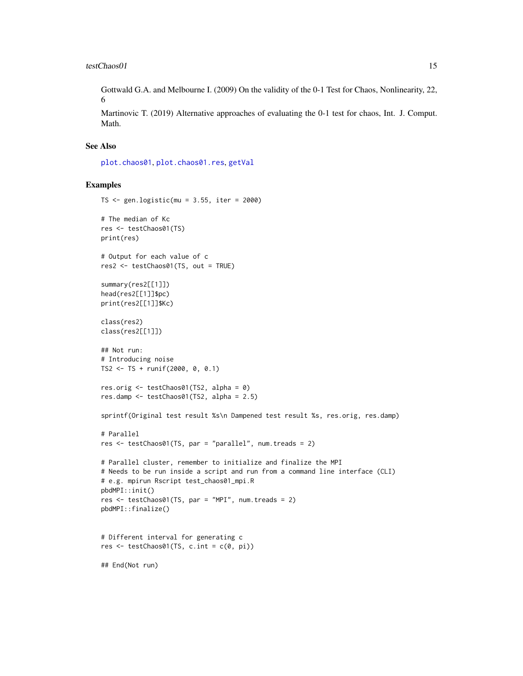<span id="page-14-0"></span>Gottwald G.A. and Melbourne I. (2009) On the validity of the 0-1 Test for Chaos, Nonlinearity, 22, 6

Martinovic T. (2019) Alternative approaches of evaluating the 0-1 test for chaos, Int. J. Comput. Math.

#### See Also

[plot.chaos01](#page-5-1), [plot.chaos01.res](#page-6-1), [getVal](#page-4-1)

```
TS \le- gen.logistic(mu = 3.55, iter = 2000)
# The median of Kc
res <- testChaos01(TS)
print(res)
# Output for each value of c
res2 <- testChaos01(TS, out = TRUE)
summary(res2[[1]])
head(res2[[1]]$pc)
print(res2[[1]]$Kc)
class(res2)
class(res2[[1]])
## Not run:
# Introducing noise
TS2 <- TS + runif(2000, 0, 0.1)
res.orig <- testChaos01(TS2, alpha = 0)
res.damp <- testChaos01(TS2, alpha = 2.5)
sprintf(Original test result %s\n Dampened test result %s, res.orig, res.damp)
# Parallel
res <- testChaos01(TS, par = "parallel", num.treads = 2)
# Parallel cluster, remember to initialize and finalize the MPI
# Needs to be run inside a script and run from a command line interface (CLI)
# e.g. mpirun Rscript test_chaos01_mpi.R
pbdMPI::init()
res <- testChaos01(TS, par = "MPI", num.treads = 2)
pbdMPI::finalize()
# Different interval for generating c
res \leq testChaos01(TS, c.int = c(0, pi))
## End(Not run)
```